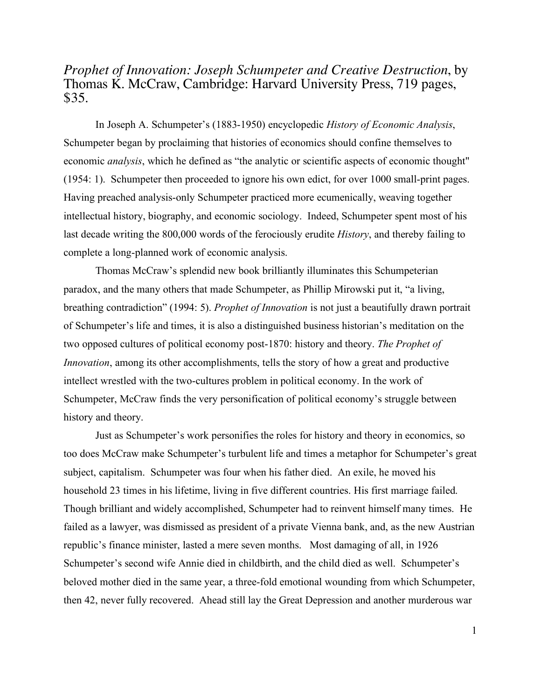## *Prophet of Innovation: Joseph Schumpeter and Creative Destruction*, by Thomas K. McCraw, Cambridge: Harvard University Press, 719 pages, \$35.

In Joseph A. Schumpeter's (1883-1950) encyclopedic *History of Economic Analysis*, Schumpeter began by proclaiming that histories of economics should confine themselves to economic *analysis*, which he defined as "the analytic or scientific aspects of economic thought" (1954: 1). Schumpeter then proceeded to ignore his own edict, for over 1000 small-print pages. Having preached analysis-only Schumpeter practiced more ecumenically, weaving together intellectual history, biography, and economic sociology. Indeed, Schumpeter spent most of his last decade writing the 800,000 words of the ferociously erudite *History*, and thereby failing to complete a long-planned work of economic analysis.

Thomas McCraw's splendid new book brilliantly illuminates this Schumpeterian paradox, and the many others that made Schumpeter, as Phillip Mirowski put it, "a living, breathing contradiction" (1994: 5). *Prophet of Innovation* is not just a beautifully drawn portrait of Schumpeter's life and times, it is also a distinguished business historian's meditation on the two opposed cultures of political economy post-1870: history and theory. *The Prophet of Innovation*, among its other accomplishments, tells the story of how a great and productive intellect wrestled with the two-cultures problem in political economy. In the work of Schumpeter, McCraw finds the very personification of political economy's struggle between history and theory.

Just as Schumpeter's work personifies the roles for history and theory in economics, so too does McCraw make Schumpeter's turbulent life and times a metaphor for Schumpeter's great subject, capitalism. Schumpeter was four when his father died. An exile, he moved his household 23 times in his lifetime, living in five different countries. His first marriage failed. Though brilliant and widely accomplished, Schumpeter had to reinvent himself many times. He failed as a lawyer, was dismissed as president of a private Vienna bank, and, as the new Austrian republic's finance minister, lasted a mere seven months. Most damaging of all, in 1926 Schumpeter's second wife Annie died in childbirth, and the child died as well. Schumpeter's beloved mother died in the same year, a three-fold emotional wounding from which Schumpeter, then 42, never fully recovered. Ahead still lay the Great Depression and another murderous war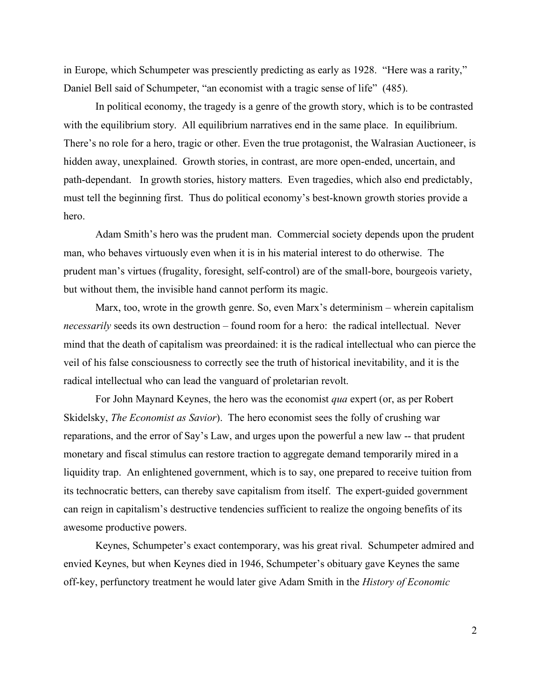in Europe, which Schumpeter was presciently predicting as early as 1928. "Here was a rarity," Daniel Bell said of Schumpeter, "an economist with a tragic sense of life" (485).

In political economy, the tragedy is a genre of the growth story, which is to be contrasted with the equilibrium story. All equilibrium narratives end in the same place. In equilibrium. There's no role for a hero, tragic or other. Even the true protagonist, the Walrasian Auctioneer, is hidden away, unexplained. Growth stories, in contrast, are more open-ended, uncertain, and path-dependant. In growth stories, history matters. Even tragedies, which also end predictably, must tell the beginning first. Thus do political economy's best-known growth stories provide a hero.

Adam Smith's hero was the prudent man. Commercial society depends upon the prudent man, who behaves virtuously even when it is in his material interest to do otherwise. The prudent man's virtues (frugality, foresight, self-control) are of the small-bore, bourgeois variety, but without them, the invisible hand cannot perform its magic.

Marx, too, wrote in the growth genre. So, even Marx's determinism – wherein capitalism *necessarily* seeds its own destruction – found room for a hero: the radical intellectual. Never mind that the death of capitalism was preordained: it is the radical intellectual who can pierce the veil of his false consciousness to correctly see the truth of historical inevitability, and it is the radical intellectual who can lead the vanguard of proletarian revolt.

For John Maynard Keynes, the hero was the economist *qua* expert (or, as per Robert Skidelsky, *The Economist as Savior*). The hero economist sees the folly of crushing war reparations, and the error of Say's Law, and urges upon the powerful a new law -- that prudent monetary and fiscal stimulus can restore traction to aggregate demand temporarily mired in a liquidity trap. An enlightened government, which is to say, one prepared to receive tuition from its technocratic betters, can thereby save capitalism from itself. The expert-guided government can reign in capitalism's destructive tendencies sufficient to realize the ongoing benefits of its awesome productive powers.

Keynes, Schumpeter's exact contemporary, was his great rival. Schumpeter admired and envied Keynes, but when Keynes died in 1946, Schumpeter's obituary gave Keynes the same off-key, perfunctory treatment he would later give Adam Smith in the *History of Economic*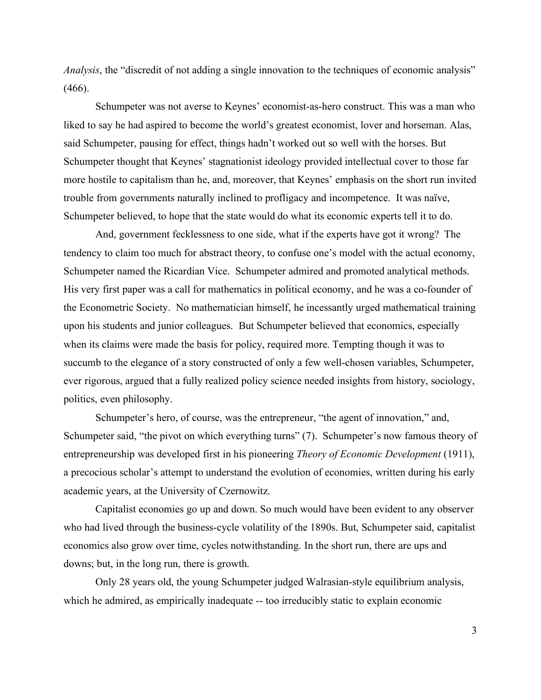*Analysis*, the "discredit of not adding a single innovation to the techniques of economic analysis"  $(466)$ .

Schumpeter was not averse to Keynes' economist-as-hero construct. This was a man who liked to say he had aspired to become the world's greatest economist, lover and horseman. Alas, said Schumpeter, pausing for effect, things hadn't worked out so well with the horses. But Schumpeter thought that Keynes' stagnationist ideology provided intellectual cover to those far more hostile to capitalism than he, and, moreover, that Keynes' emphasis on the short run invited trouble from governments naturally inclined to profligacy and incompetence. It was naïve, Schumpeter believed, to hope that the state would do what its economic experts tell it to do.

And, government fecklessness to one side, what if the experts have got it wrong? The tendency to claim too much for abstract theory, to confuse one's model with the actual economy, Schumpeter named the Ricardian Vice. Schumpeter admired and promoted analytical methods. His very first paper was a call for mathematics in political economy, and he was a co-founder of the Econometric Society. No mathematician himself, he incessantly urged mathematical training upon his students and junior colleagues. But Schumpeter believed that economics, especially when its claims were made the basis for policy, required more. Tempting though it was to succumb to the elegance of a story constructed of only a few well-chosen variables, Schumpeter, ever rigorous, argued that a fully realized policy science needed insights from history, sociology, politics, even philosophy.

Schumpeter's hero, of course, was the entrepreneur, "the agent of innovation," and, Schumpeter said, "the pivot on which everything turns" (7). Schumpeter's now famous theory of entrepreneurship was developed first in his pioneering *Theory of Economic Development* (1911), a precocious scholar's attempt to understand the evolution of economies, written during his early academic years, at the University of Czernowitz.

Capitalist economies go up and down. So much would have been evident to any observer who had lived through the business-cycle volatility of the 1890s. But, Schumpeter said, capitalist economics also grow over time, cycles notwithstanding. In the short run, there are ups and downs; but, in the long run, there is growth.

Only 28 years old, the young Schumpeter judged Walrasian-style equilibrium analysis, which he admired, as empirically inadequate -- too irreducibly static to explain economic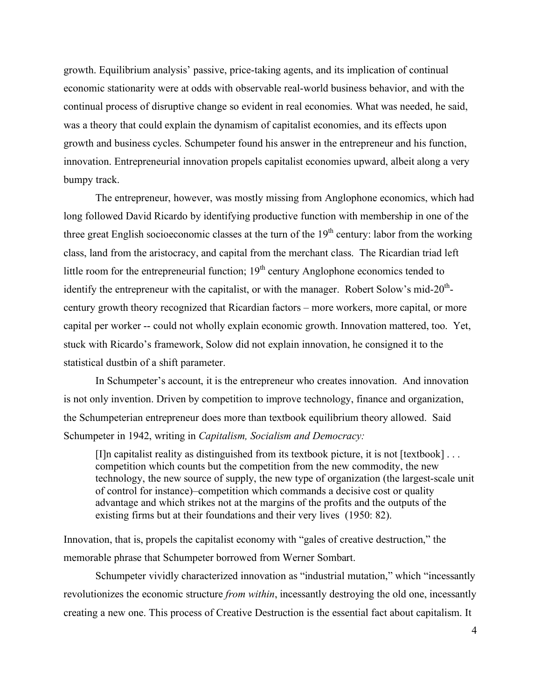growth. Equilibrium analysis' passive, price-taking agents, and its implication of continual economic stationarity were at odds with observable real-world business behavior, and with the continual process of disruptive change so evident in real economies. What was needed, he said, was a theory that could explain the dynamism of capitalist economies, and its effects upon growth and business cycles. Schumpeter found his answer in the entrepreneur and his function, innovation. Entrepreneurial innovation propels capitalist economies upward, albeit along a very bumpy track.

The entrepreneur, however, was mostly missing from Anglophone economics, which had long followed David Ricardo by identifying productive function with membership in one of the three great English socioeconomic classes at the turn of the  $19<sup>th</sup>$  century: labor from the working class, land from the aristocracy, and capital from the merchant class. The Ricardian triad left little room for the entrepreneurial function;  $19<sup>th</sup>$  century Anglophone economics tended to identify the entrepreneur with the capitalist, or with the manager. Robert Solow's mid- $20<sup>th</sup>$ century growth theory recognized that Ricardian factors – more workers, more capital, or more capital per worker -- could not wholly explain economic growth. Innovation mattered, too. Yet, stuck with Ricardo's framework, Solow did not explain innovation, he consigned it to the statistical dustbin of a shift parameter.

In Schumpeter's account, it is the entrepreneur who creates innovation. And innovation is not only invention. Driven by competition to improve technology, finance and organization, the Schumpeterian entrepreneur does more than textbook equilibrium theory allowed. Said Schumpeter in 1942, writing in *Capitalism, Socialism and Democracy:*

[I]n capitalist reality as distinguished from its textbook picture, it is not [textbook] . . . competition which counts but the competition from the new commodity, the new technology, the new source of supply, the new type of organization (the largest-scale unit of control for instance)–competition which commands a decisive cost or quality advantage and which strikes not at the margins of the profits and the outputs of the existing firms but at their foundations and their very lives (1950: 82).

Innovation, that is, propels the capitalist economy with "gales of creative destruction," the memorable phrase that Schumpeter borrowed from Werner Sombart.

Schumpeter vividly characterized innovation as "industrial mutation," which "incessantly revolutionizes the economic structure *from within*, incessantly destroying the old one, incessantly creating a new one. This process of Creative Destruction is the essential fact about capitalism. It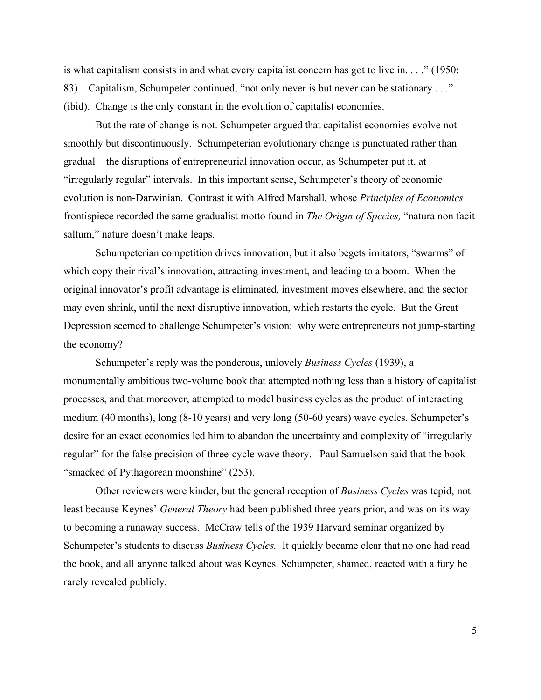is what capitalism consists in and what every capitalist concern has got to live in. . . ." (1950: 83). Capitalism, Schumpeter continued, "not only never is but never can be stationary . . ." (ibid). Change is the only constant in the evolution of capitalist economies.

But the rate of change is not. Schumpeter argued that capitalist economies evolve not smoothly but discontinuously. Schumpeterian evolutionary change is punctuated rather than gradual – the disruptions of entrepreneurial innovation occur, as Schumpeter put it, at "irregularly regular" intervals. In this important sense, Schumpeter's theory of economic evolution is non-Darwinian. Contrast it with Alfred Marshall, whose *Principles of Economics* frontispiece recorded the same gradualist motto found in *The Origin of Species,* "natura non facit saltum," nature doesn't make leaps.

Schumpeterian competition drives innovation, but it also begets imitators, "swarms" of which copy their rival's innovation, attracting investment, and leading to a boom. When the original innovator's profit advantage is eliminated, investment moves elsewhere, and the sector may even shrink, until the next disruptive innovation, which restarts the cycle. But the Great Depression seemed to challenge Schumpeter's vision: why were entrepreneurs not jump-starting the economy?

Schumpeter's reply was the ponderous, unlovely *Business Cycles* (1939), a monumentally ambitious two-volume book that attempted nothing less than a history of capitalist processes, and that moreover, attempted to model business cycles as the product of interacting medium (40 months), long (8-10 years) and very long (50-60 years) wave cycles. Schumpeter's desire for an exact economics led him to abandon the uncertainty and complexity of "irregularly regular" for the false precision of three-cycle wave theory. Paul Samuelson said that the book "smacked of Pythagorean moonshine" (253).

Other reviewers were kinder, but the general reception of *Business Cycles* was tepid, not least because Keynes' *General Theory* had been published three years prior, and was on its way to becoming a runaway success. McCraw tells of the 1939 Harvard seminar organized by Schumpeter's students to discuss *Business Cycles.* It quickly became clear that no one had read the book, and all anyone talked about was Keynes. Schumpeter, shamed, reacted with a fury he rarely revealed publicly.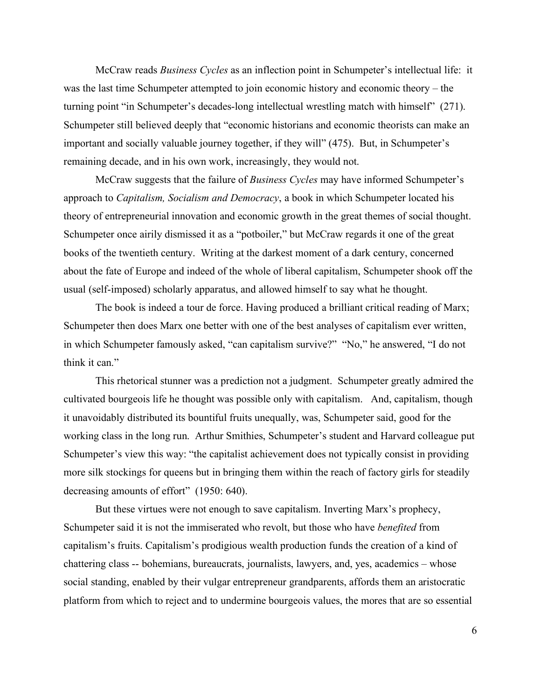McCraw reads *Business Cycles* as an inflection point in Schumpeter's intellectual life: it was the last time Schumpeter attempted to join economic history and economic theory – the turning point "in Schumpeter's decades-long intellectual wrestling match with himself" (271). Schumpeter still believed deeply that "economic historians and economic theorists can make an important and socially valuable journey together, if they will" (475). But, in Schumpeter's remaining decade, and in his own work, increasingly, they would not.

McCraw suggests that the failure of *Business Cycles* may have informed Schumpeter's approach to *Capitalism, Socialism and Democracy*, a book in which Schumpeter located his theory of entrepreneurial innovation and economic growth in the great themes of social thought. Schumpeter once airily dismissed it as a "potboiler," but McCraw regards it one of the great books of the twentieth century. Writing at the darkest moment of a dark century, concerned about the fate of Europe and indeed of the whole of liberal capitalism, Schumpeter shook off the usual (self-imposed) scholarly apparatus, and allowed himself to say what he thought.

The book is indeed a tour de force. Having produced a brilliant critical reading of Marx; Schumpeter then does Marx one better with one of the best analyses of capitalism ever written, in which Schumpeter famously asked, "can capitalism survive?" "No," he answered, "I do not think it can."

This rhetorical stunner was a prediction not a judgment. Schumpeter greatly admired the cultivated bourgeois life he thought was possible only with capitalism. And, capitalism, though it unavoidably distributed its bountiful fruits unequally, was, Schumpeter said, good for the working class in the long run. Arthur Smithies, Schumpeter's student and Harvard colleague put Schumpeter's view this way: "the capitalist achievement does not typically consist in providing more silk stockings for queens but in bringing them within the reach of factory girls for steadily decreasing amounts of effort" (1950: 640).

But these virtues were not enough to save capitalism. Inverting Marx's prophecy, Schumpeter said it is not the immiserated who revolt, but those who have *benefited* from capitalism's fruits. Capitalism's prodigious wealth production funds the creation of a kind of chattering class -- bohemians, bureaucrats, journalists, lawyers, and, yes, academics – whose social standing, enabled by their vulgar entrepreneur grandparents, affords them an aristocratic platform from which to reject and to undermine bourgeois values, the mores that are so essential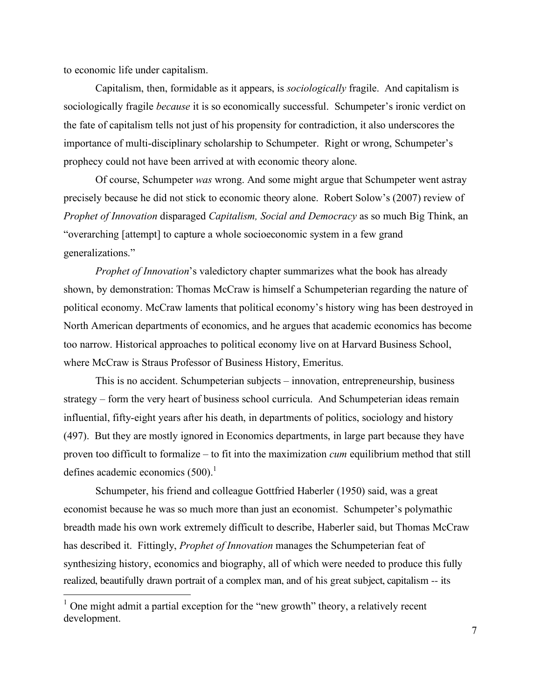to economic life under capitalism.

Capitalism, then, formidable as it appears, is *sociologically* fragile. And capitalism is sociologically fragile *because* it is so economically successful. Schumpeter's ironic verdict on the fate of capitalism tells not just of his propensity for contradiction, it also underscores the importance of multi-disciplinary scholarship to Schumpeter. Right or wrong, Schumpeter's prophecy could not have been arrived at with economic theory alone.

Of course, Schumpeter *was* wrong. And some might argue that Schumpeter went astray precisely because he did not stick to economic theory alone. Robert Solow's (2007) review of *Prophet of Innovation* disparaged *Capitalism, Social and Democracy* as so much Big Think, an "overarching [attempt] to capture a whole socioeconomic system in a few grand generalizations."

*Prophet of Innovation*'s valedictory chapter summarizes what the book has already shown, by demonstration: Thomas McCraw is himself a Schumpeterian regarding the nature of political economy. McCraw laments that political economy's history wing has been destroyed in North American departments of economics, and he argues that academic economics has become too narrow. Historical approaches to political economy live on at Harvard Business School, where McCraw is Straus Professor of Business History, Emeritus.

This is no accident. Schumpeterian subjects – innovation, entrepreneurship, business strategy – form the very heart of business school curricula. And Schumpeterian ideas remain influential, fifty-eight years after his death, in departments of politics, sociology and history (497). But they are mostly ignored in Economics departments, in large part because they have proven too difficult to formalize – to fit into the maximization *cum* equilibrium method that still defines academic economics (500).<sup>1</sup>

Schumpeter, his friend and colleague Gottfried Haberler (1950) said, was a great economist because he was so much more than just an economist. Schumpeter's polymathic breadth made his own work extremely difficult to describe, Haberler said, but Thomas McCraw has described it. Fittingly, *Prophet of Innovation* manages the Schumpeterian feat of synthesizing history, economics and biography, all of which were needed to produce this fully realized, beautifully drawn portrait of a complex man, and of his great subject, capitalism -- its

 $1$  One might admit a partial exception for the "new growth" theory, a relatively recent development.